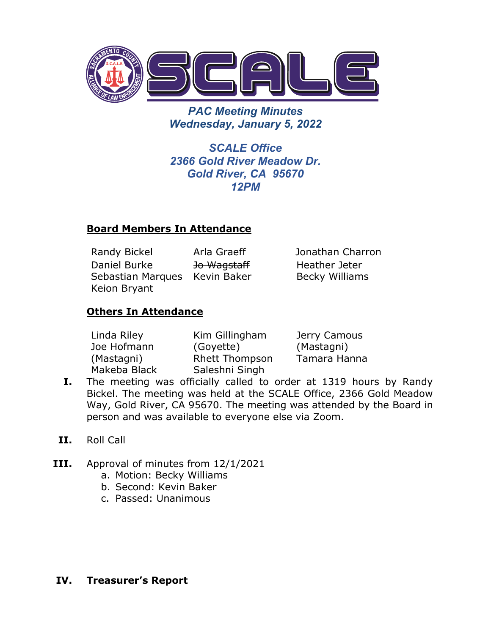

*PAC Meeting Minutes Wednesday, January 5, 2022*

*SCALE Office 2366 Gold River Meadow Dr. Gold River, CA 95670 12PM*

### **Board Members In Attendance**

Randy Bickel Arla Graeff Jonathan Charron Daniel Burke Sebastian Marques Kevin Baker Keion Bryant Jo Wagstaff

Heather Jeter Becky Williams

## **Others In Attendance**

| Linda Riley  | Kim Gillingham        | Jerry Camous |
|--------------|-----------------------|--------------|
| Joe Hofmann  | (Goyette)             | (Mastagni)   |
| (Mastagni)   | <b>Rhett Thompson</b> | Tamara Hanna |
| Makeba Black | Saleshni Singh        |              |

- **I.** The meeting was officially called to order at 1319 hours by Randy Bickel. The meeting was held at the SCALE Office, 2366 Gold Meadow Way, Gold River, CA 95670. The meeting was attended by the Board in person and was available to everyone else via Zoom.
- **II.** Roll Call
- **III.** Approval of minutes from 12/1/2021
	- a. Motion: Becky Williams
	- b. Second: Kevin Baker
	- c. Passed: Unanimous

## **IV. Treasurer's Report**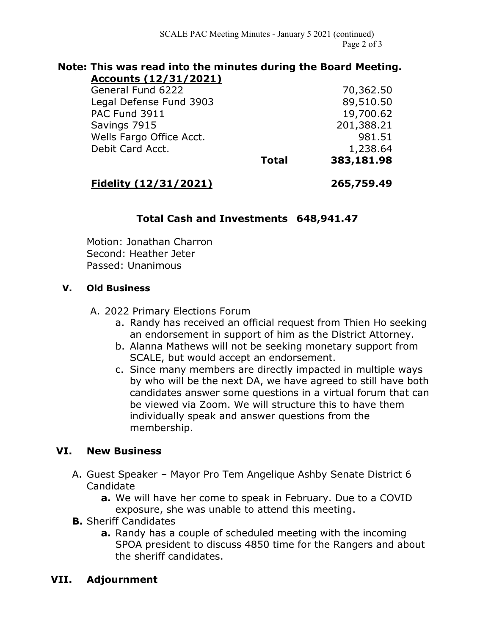#### **Note: This was read into the minutes during the Board Meeting. Accounts (12/31/2021)**

General Fund 6222 70,362.50 Legal Defense Fund 3903 89,510.50 PAC Fund 3911 19,700.62 Savings 7915 201,388.21 Wells Fargo Office Acct. 981.51 Debit Card Acct. 1,238.64

**Total 383,181.98**

# **Fidelity (12/31/2021) 265,759.49**

## **Total Cash and Investments 648,941.47**

Motion: Jonathan Charron Second: Heather Jeter Passed: Unanimous

### **V. Old Business**

A. 2022 Primary Elections Forum

- a. Randy has received an official request from Thien Ho seeking an endorsement in support of him as the District Attorney.
- b. Alanna Mathews will not be seeking monetary support from SCALE, but would accept an endorsement.
- c. Since many members are directly impacted in multiple ways by who will be the next DA, we have agreed to still have both candidates answer some questions in a virtual forum that can be viewed via Zoom. We will structure this to have them individually speak and answer questions from the membership.

## **VI. New Business**

- A. Guest Speaker Mayor Pro Tem Angelique Ashby Senate District 6 Candidate
	- **a.** We will have her come to speak in February. Due to a COVID exposure, she was unable to attend this meeting.
- **B.** Sheriff Candidates
	- **a.** Randy has a couple of scheduled meeting with the incoming SPOA president to discuss 4850 time for the Rangers and about the sheriff candidates.

### **VII. Adjournment**